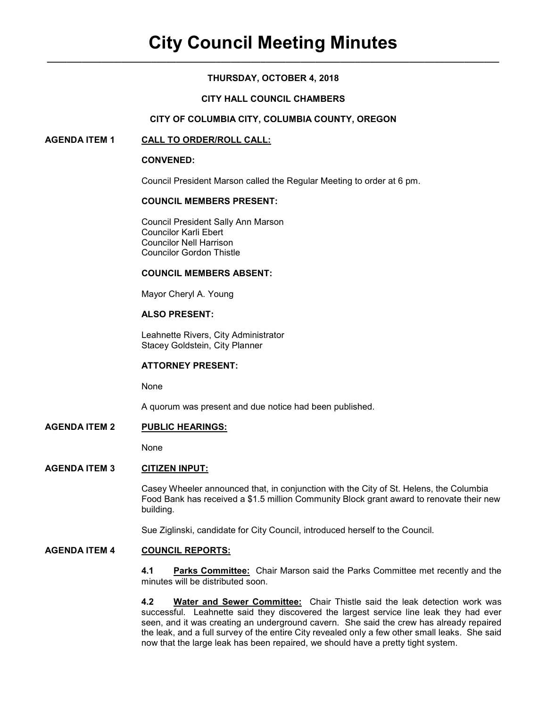# **THURSDAY, OCTOBER 4, 2018**

### **CITY HALL COUNCIL CHAMBERS**

### **CITY OF COLUMBIA CITY, COLUMBIA COUNTY, OREGON**

## **AGENDA ITEM 1 CALL TO ORDER/ROLL CALL:**

#### **CONVENED:**

Council President Marson called the Regular Meeting to order at 6 pm.

## **COUNCIL MEMBERS PRESENT:**

 Council President Sally Ann Marson Councilor Karli Ebert Councilor Nell Harrison Councilor Gordon Thistle

#### **COUNCIL MEMBERS ABSENT:**

Mayor Cheryl A. Young

# **ALSO PRESENT:**

Leahnette Rivers, City Administrator Stacey Goldstein, City Planner

### **ATTORNEY PRESENT:**

None

A quorum was present and due notice had been published.

## **AGENDA ITEM 2 PUBLIC HEARINGS:**

None

# **AGENDA ITEM 3 CITIZEN INPUT:**

Casey Wheeler announced that, in conjunction with the City of St. Helens, the Columbia Food Bank has received a \$1.5 million Community Block grant award to renovate their new building.

Sue Ziglinski, candidate for City Council, introduced herself to the Council.

### **AGENDA ITEM 4 COUNCIL REPORTS:**

**4.1 Parks Committee:** Chair Marson said the Parks Committee met recently and the minutes will be distributed soon.

**4.2 Water and Sewer Committee:** Chair Thistle said the leak detection work was successful. Leahnette said they discovered the largest service line leak they had ever seen, and it was creating an underground cavern. She said the crew has already repaired the leak, and a full survey of the entire City revealed only a few other small leaks. She said now that the large leak has been repaired, we should have a pretty tight system.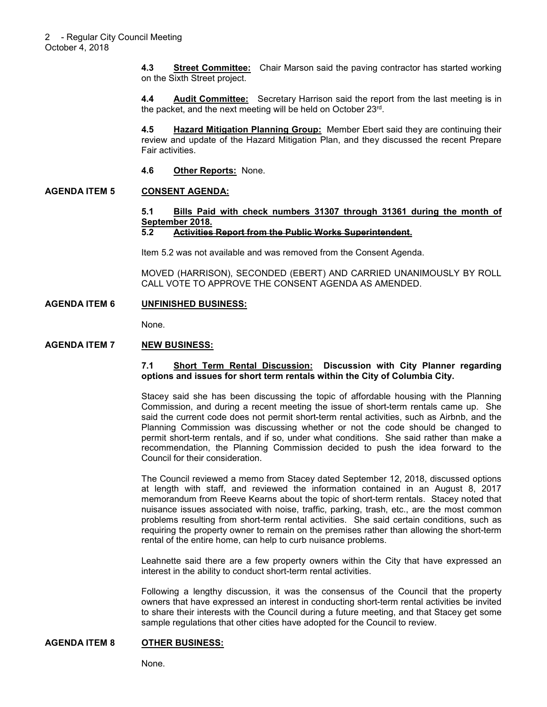**4.3 Street Committee:** Chair Marson said the paving contractor has started working on the Sixth Street project.

**4.4 Audit Committee:** Secretary Harrison said the report from the last meeting is in the packet, and the next meeting will be held on October 23rd .

**4.5 Hazard Mitigation Planning Group:** Member Ebert said they are continuing their review and update of the Hazard Mitigation Plan, and they discussed the recent Prepare Fair activities.

**4.6 Other Reports:** None.

### **AGENDA ITEM 5 CONSENT AGENDA:**

# **5.1 Bills Paid with check numbers 31307 through 31361 during the month of September 2018.**

#### **5.2 Activities Report from the Public Works Superintendent.**

Item 5.2 was not available and was removed from the Consent Agenda.

MOVED (HARRISON), SECONDED (EBERT) AND CARRIED UNANIMOUSLY BY ROLL CALL VOTE TO APPROVE THE CONSENT AGENDA AS AMENDED.

### **AGENDA ITEM 6 UNFINISHED BUSINESS:**

None.

### **AGENDA ITEM 7 NEW BUSINESS:**

#### **7.1 Short Term Rental Discussion: Discussion with City Planner regarding options and issues for short term rentals within the City of Columbia City.**

Stacey said she has been discussing the topic of affordable housing with the Planning Commission, and during a recent meeting the issue of short-term rentals came up. She said the current code does not permit short-term rental activities, such as Airbnb, and the Planning Commission was discussing whether or not the code should be changed to permit short-term rentals, and if so, under what conditions. She said rather than make a recommendation, the Planning Commission decided to push the idea forward to the Council for their consideration.

The Council reviewed a memo from Stacey dated September 12, 2018, discussed options at length with staff, and reviewed the information contained in an August 8, 2017 memorandum from Reeve Kearns about the topic of short-term rentals. Stacey noted that nuisance issues associated with noise, traffic, parking, trash, etc., are the most common problems resulting from short-term rental activities. She said certain conditions, such as requiring the property owner to remain on the premises rather than allowing the short-term rental of the entire home, can help to curb nuisance problems.

Leahnette said there are a few property owners within the City that have expressed an interest in the ability to conduct short-term rental activities.

Following a lengthy discussion, it was the consensus of the Council that the property owners that have expressed an interest in conducting short-term rental activities be invited to share their interests with the Council during a future meeting, and that Stacey get some sample regulations that other cities have adopted for the Council to review.

### **AGENDA ITEM 8 OTHER BUSINESS:**

None.